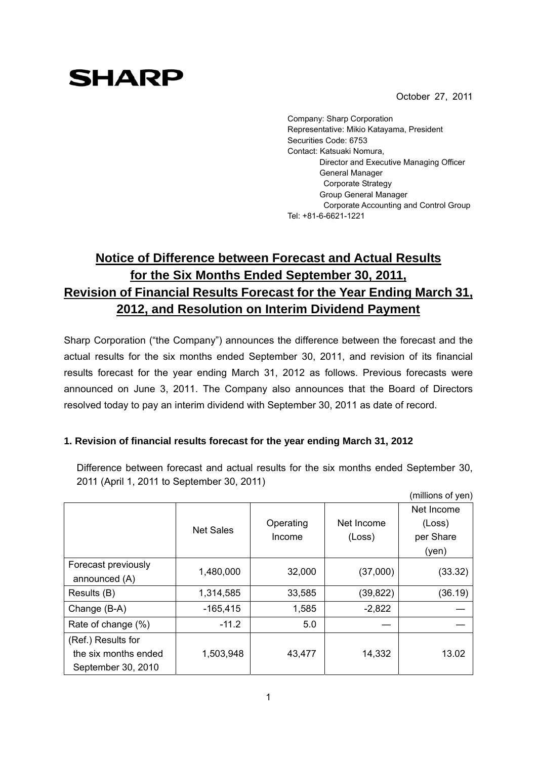October 27, 2011

# **SHARP**

Company: Sharp Corporation Representative: Mikio Katayama, President Securities Code: 6753 Contact: Katsuaki Nomura, Director and Executive Managing Officer General Manager Corporate Strategy Group General Manager Corporate Accounting and Control Group Tel: +81-6-6621-1221

# **Notice of Difference between Forecast and Actual Results for the Six Months Ended September 30, 2011, Revision of Financial Results Forecast for the Year Ending March 31, 2012, and Resolution on Interim Dividend Payment**

Sharp Corporation ("the Company") announces the difference between the forecast and the actual results for the six months ended September 30, 2011, and revision of its financial results forecast for the year ending March 31, 2012 as follows. Previous forecasts were announced on June 3, 2011. The Company also announces that the Board of Directors resolved today to pay an interim dividend with September 30, 2011 as date of record.

## **1. Revision of financial results forecast for the year ending March 31, 2012**

Difference between forecast and actual results for the six months ended September 30, 2011 (April 1, 2011 to September 30, 2011)  $(1)$ 

|                      |                  |                     |                      | (millions of yen) |
|----------------------|------------------|---------------------|----------------------|-------------------|
|                      |                  |                     | Net Income<br>(Loss) | Net Income        |
|                      | <b>Net Sales</b> | Operating<br>Income |                      | (Loss)            |
|                      |                  |                     |                      | per Share         |
|                      |                  |                     |                      | (yen)             |
| Forecast previously  | 1,480,000        | 32,000              | (37,000)             | (33.32)           |
| announced (A)        |                  |                     |                      |                   |
| Results (B)          | 1,314,585        | 33,585              | (39, 822)            | (36.19)           |
| Change (B-A)         | $-165,415$       | 1,585               | $-2,822$             |                   |
| Rate of change (%)   | $-11.2$          | 5.0                 |                      |                   |
| (Ref.) Results for   |                  |                     |                      |                   |
| the six months ended | 1,503,948        | 43,477              | 14,332               | 13.02             |
| September 30, 2010   |                  |                     |                      |                   |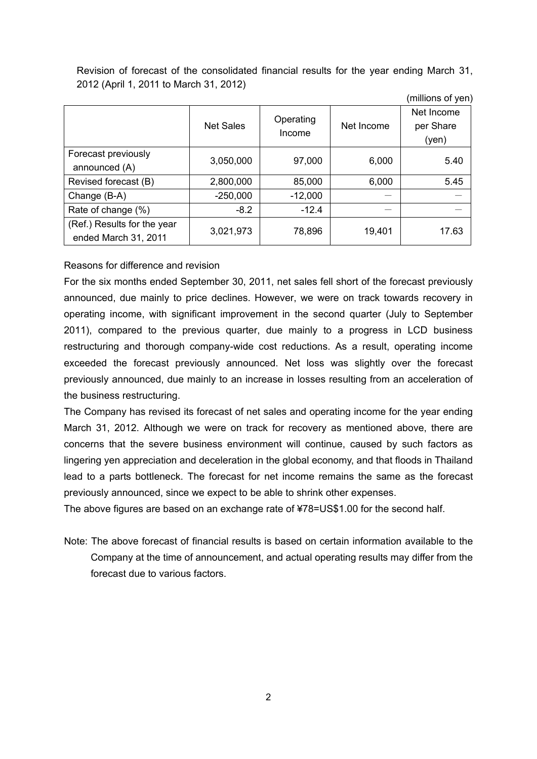Revision of forecast of the consolidated financial results for the year ending March 31, 2012 (April 1, 2011 to March 31, 2012)

(millions of yen)

|                                                     | <b>Net Sales</b> | Operating<br>Income | Net Income | Net Income<br>per Share<br>(yen) |  |
|-----------------------------------------------------|------------------|---------------------|------------|----------------------------------|--|
| Forecast previously<br>announced (A)                | 3,050,000        | 97,000              | 6,000      | 5.40                             |  |
| Revised forecast (B)                                | 2,800,000        | 85,000              | 6,000      | 5.45                             |  |
| Change (B-A)                                        | $-250,000$       | $-12,000$           |            |                                  |  |
| Rate of change (%)                                  | $-8.2$           | $-12.4$             |            |                                  |  |
| (Ref.) Results for the year<br>ended March 31, 2011 | 3,021,973        | 78,896              | 19,401     | 17.63                            |  |

#### Reasons for difference and revision

For the six months ended September 30, 2011, net sales fell short of the forecast previously announced, due mainly to price declines. However, we were on track towards recovery in operating income, with significant improvement in the second quarter (July to September 2011), compared to the previous quarter, due mainly to a progress in LCD business restructuring and thorough company-wide cost reductions. As a result, operating income exceeded the forecast previously announced. Net loss was slightly over the forecast previously announced, due mainly to an increase in losses resulting from an acceleration of the business restructuring.

The Company has revised its forecast of net sales and operating income for the year ending March 31, 2012. Although we were on track for recovery as mentioned above, there are concerns that the severe business environment will continue, caused by such factors as lingering yen appreciation and deceleration in the global economy, and that floods in Thailand lead to a parts bottleneck. The forecast for net income remains the same as the forecast previously announced, since we expect to be able to shrink other expenses.

The above figures are based on an exchange rate of ¥78=US\$1.00 for the second half.

Note: The above forecast of financial results is based on certain information available to the Company at the time of announcement, and actual operating results may differ from the forecast due to various factors.